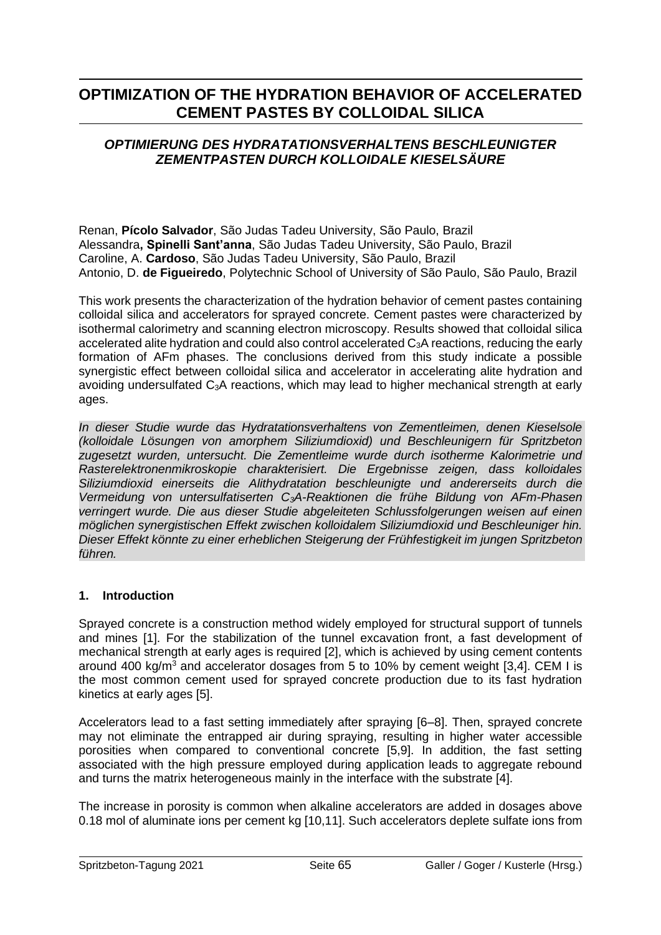# **OPTIMIZATION OF THE HYDRATION BEHAVIOR OF ACCELERATED CEMENT PASTES BY COLLOIDAL SILICA**

# *OPTIMIERUNG DES HYDRATATIONSVERHALTENS BESCHLEUNIGTER ZEMENTPASTEN DURCH KOLLOIDALE KIESELSÄURE*

Renan, **Pícolo Salvador**, São Judas Tadeu University, São Paulo, Brazil Alessandra**, Spinelli Sant'anna**, São Judas Tadeu University, São Paulo, Brazil Caroline, A. **Cardoso**, São Judas Tadeu University, São Paulo, Brazil Antonio, D. **de Figueiredo**, Polytechnic School of University of São Paulo, São Paulo, Brazil

This work presents the characterization of the hydration behavior of cement pastes containing colloidal silica and accelerators for sprayed concrete. Cement pastes were characterized by isothermal calorimetry and scanning electron microscopy. Results showed that colloidal silica accelerated alite hydration and could also control accelerated C3A reactions, reducing the early formation of AFm phases. The conclusions derived from this study indicate a possible synergistic effect between colloidal silica and accelerator in accelerating alite hydration and avoiding undersulfated C<sub>3</sub>A reactions, which may lead to higher mechanical strength at early ages.

*In dieser Studie wurde das Hydratationsverhaltens von Zementleimen, denen Kieselsole (kolloidale Lösungen von amorphem Siliziumdioxid) und Beschleunigern für Spritzbeton zugesetzt wurden, untersucht. Die Zementleime wurde durch isotherme Kalorimetrie und Rasterelektronenmikroskopie charakterisiert. Die Ergebnisse zeigen, dass kolloidales Siliziumdioxid einerseits die Alithydratation beschleunigte und andererseits durch die Vermeidung von untersulfatiserten C3A-Reaktionen die frühe Bildung von AFm-Phasen verringert wurde. Die aus dieser Studie abgeleiteten Schlussfolgerungen weisen auf einen möglichen synergistischen Effekt zwischen kolloidalem Siliziumdioxid und Beschleuniger hin. Dieser Effekt könnte zu einer erheblichen Steigerung der Frühfestigkeit im jungen Spritzbeton führen.*

# **1. Introduction**

Sprayed concrete is a construction method widely employed for structural support of tunnels and mines [1]. For the stabilization of the tunnel excavation front, a fast development of mechanical strength at early ages is required [2], which is achieved by using cement contents around 400 kg/ $m^3$  and accelerator dosages from 5 to 10% by cement weight [3,4]. CEM I is the most common cement used for sprayed concrete production due to its fast hydration kinetics at early ages [5].

Accelerators lead to a fast setting immediately after spraying [6–8]. Then, sprayed concrete may not eliminate the entrapped air during spraying, resulting in higher water accessible porosities when compared to conventional concrete [5,9]. In addition, the fast setting associated with the high pressure employed during application leads to aggregate rebound and turns the matrix heterogeneous mainly in the interface with the substrate [4].

The increase in porosity is common when alkaline accelerators are added in dosages above 0.18 mol of aluminate ions per cement kg [10,11]. Such accelerators deplete sulfate ions from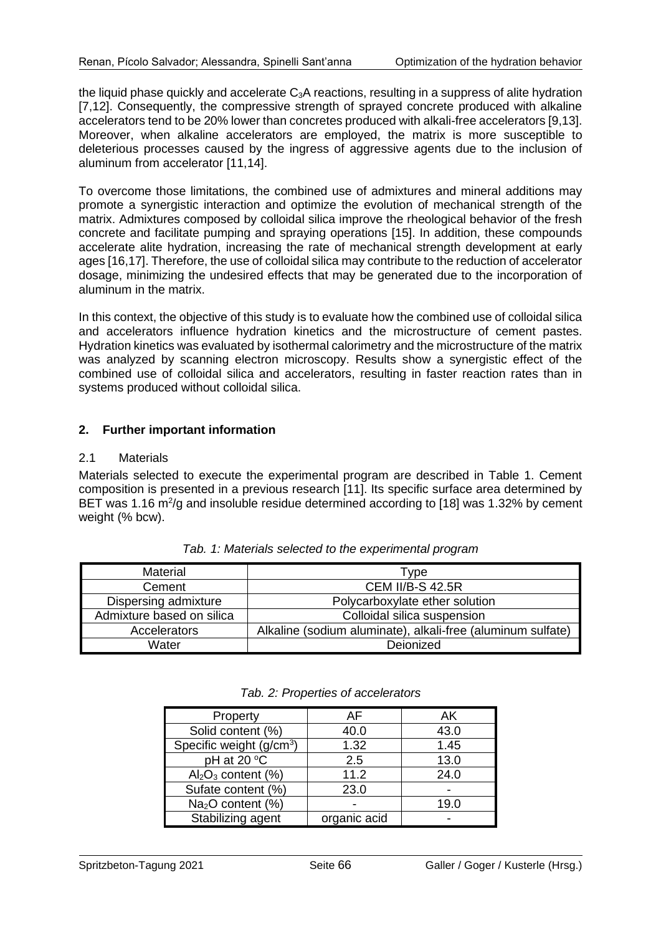the liquid phase quickly and accelerate C<sub>3</sub>A reactions, resulting in a suppress of alite hydration [7,12]. Consequently, the compressive strength of sprayed concrete produced with alkaline accelerators tend to be 20% lower than concretes produced with alkali-free accelerators [9,13]. Moreover, when alkaline accelerators are employed, the matrix is more susceptible to deleterious processes caused by the ingress of aggressive agents due to the inclusion of aluminum from accelerator [11,14].

To overcome those limitations, the combined use of admixtures and mineral additions may promote a synergistic interaction and optimize the evolution of mechanical strength of the matrix. Admixtures composed by colloidal silica improve the rheological behavior of the fresh concrete and facilitate pumping and spraying operations [15]. In addition, these compounds accelerate alite hydration, increasing the rate of mechanical strength development at early ages [16,17]. Therefore, the use of colloidal silica may contribute to the reduction of accelerator dosage, minimizing the undesired effects that may be generated due to the incorporation of aluminum in the matrix.

In this context, the objective of this study is to evaluate how the combined use of colloidal silica and accelerators influence hydration kinetics and the microstructure of cement pastes. Hydration kinetics was evaluated by isothermal calorimetry and the microstructure of the matrix was analyzed by scanning electron microscopy. Results show a synergistic effect of the combined use of colloidal silica and accelerators, resulting in faster reaction rates than in systems produced without colloidal silica.

# **2. Further important information**

#### 2.1 Materials

Materials selected to execute the experimental program are described in Table 1. Cement composition is presented in a previous research [11]. Its specific surface area determined by BET was 1.16  $\text{m}^2/\text{g}$  and insoluble residue determined according to [18] was 1.32% by cement weight (% bcw).

| <b>Material</b>           | Type                                                        |  |  |
|---------------------------|-------------------------------------------------------------|--|--|
| Cement                    | <b>CEM II/B-S 42.5R</b>                                     |  |  |
| Dispersing admixture      | Polycarboxylate ether solution                              |  |  |
| Admixture based on silica | Colloidal silica suspension                                 |  |  |
| Accelerators              | Alkaline (sodium aluminate), alkali-free (aluminum sulfate) |  |  |
| Water                     | Deionized                                                   |  |  |

*Tab. 1: Materials selected to the experimental program*

|  |  | Tab. 2: Properties of accelerators |
|--|--|------------------------------------|
|--|--|------------------------------------|

| Property                             | AF           | ΑK   |
|--------------------------------------|--------------|------|
| Solid content (%)                    | 40.0         | 43.0 |
| Specific weight (g/cm <sup>3</sup> ) | 1.32         | 1.45 |
| pH at 20 °C                          | 2.5          | 13.0 |
| $Al_2O_3$ content (%)                | 11.2         | 24.0 |
| Sufate content (%)                   | 23.0         |      |
| $Na2O$ content (%)                   |              | 19.0 |
| Stabilizing agent                    | organic acid |      |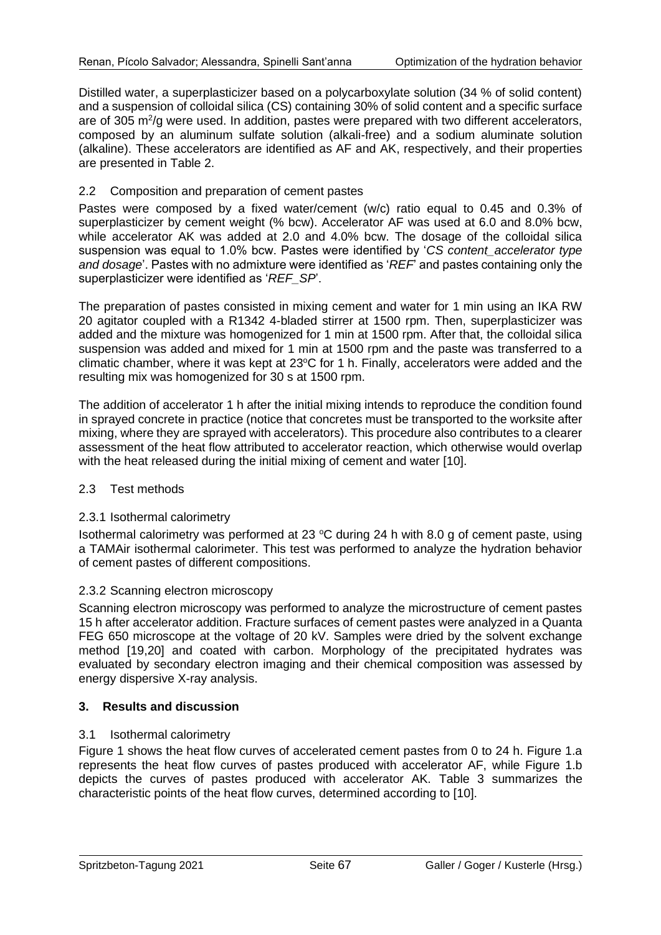Distilled water, a superplasticizer based on a polycarboxylate solution (34 % of solid content) and a suspension of colloidal silica (CS) containing 30% of solid content and a specific surface are of 305 m<sup>2</sup>/g were used. In addition, pastes were prepared with two different accelerators, composed by an aluminum sulfate solution (alkali-free) and a sodium aluminate solution (alkaline). These accelerators are identified as AF and AK, respectively, and their properties are presented in Table 2.

#### 2.2 Composition and preparation of cement pastes

Pastes were composed by a fixed water/cement (w/c) ratio equal to 0.45 and 0.3% of superplasticizer by cement weight (% bcw). Accelerator AF was used at 6.0 and 8.0% bcw, while accelerator AK was added at 2.0 and 4.0% bcw. The dosage of the colloidal silica suspension was equal to 1.0% bcw. Pastes were identified by '*CS content\_accelerator type and dosage*'. Pastes with no admixture were identified as '*REF*' and pastes containing only the superplasticizer were identified as '*REF\_SP*'.

The preparation of pastes consisted in mixing cement and water for 1 min using an IKA RW 20 agitator coupled with a R1342 4-bladed stirrer at 1500 rpm. Then, superplasticizer was added and the mixture was homogenized for 1 min at 1500 rpm. After that, the colloidal silica suspension was added and mixed for 1 min at 1500 rpm and the paste was transferred to a climatic chamber, where it was kept at 23°C for 1 h. Finally, accelerators were added and the resulting mix was homogenized for 30 s at 1500 rpm.

The addition of accelerator 1 h after the initial mixing intends to reproduce the condition found in sprayed concrete in practice (notice that concretes must be transported to the worksite after mixing, where they are sprayed with accelerators). This procedure also contributes to a clearer assessment of the heat flow attributed to accelerator reaction, which otherwise would overlap with the heat released during the initial mixing of cement and water [10].

#### 2.3 Test methods

#### 2.3.1 Isothermal calorimetry

Isothermal calorimetry was performed at 23  $^{\circ}$ C during 24 h with 8.0 g of cement paste, using a TAMAir isothermal calorimeter. This test was performed to analyze the hydration behavior of cement pastes of different compositions.

#### 2.3.2 Scanning electron microscopy

Scanning electron microscopy was performed to analyze the microstructure of cement pastes 15 h after accelerator addition. Fracture surfaces of cement pastes were analyzed in a Quanta FEG 650 microscope at the voltage of 20 kV. Samples were dried by the solvent exchange method [19,20] and coated with carbon. Morphology of the precipitated hydrates was evaluated by secondary electron imaging and their chemical composition was assessed by energy dispersive X-ray analysis.

#### **3. Results and discussion**

#### 3.1 Isothermal calorimetry

Figure 1 shows the heat flow curves of accelerated cement pastes from 0 to 24 h. Figure 1.a represents the heat flow curves of pastes produced with accelerator AF, while Figure 1.b depicts the curves of pastes produced with accelerator AK. Table 3 summarizes the characteristic points of the heat flow curves, determined according to [10].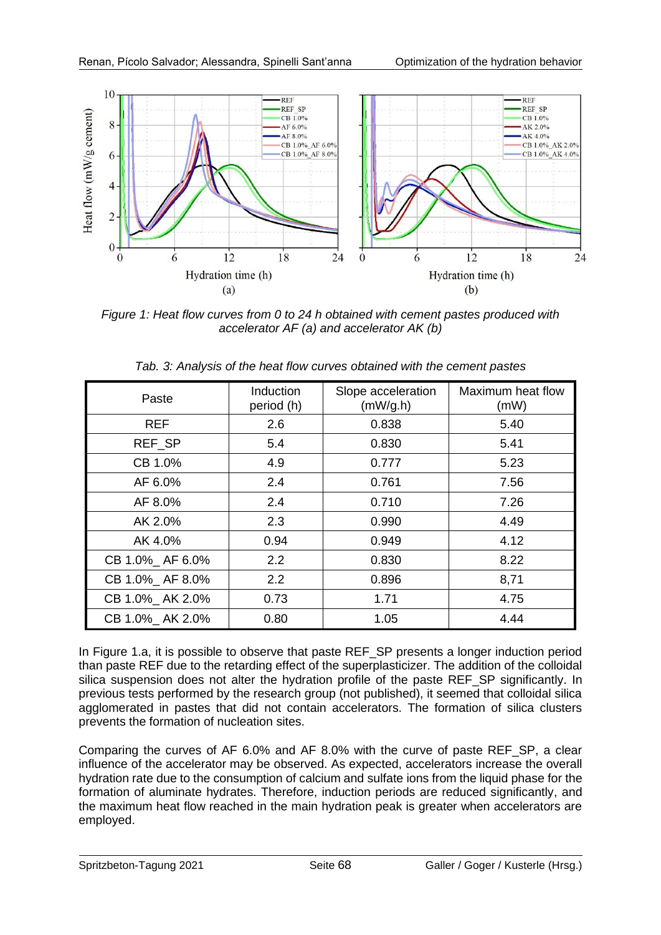

*Figure 1: Heat flow curves from 0 to 24 h obtained with cement pastes produced with accelerator AF (a) and accelerator AK (b)*

| Paste            | Induction<br>period (h) | Slope acceleration<br>(mW/g.h) | Maximum heat flow<br>(mW) |
|------------------|-------------------------|--------------------------------|---------------------------|
| <b>REF</b>       | 2.6                     | 0.838                          | 5.40                      |
| REF SP           | 5.4                     | 0.830                          | 5.41                      |
| CB 1.0%          | 4.9                     | 0.777                          | 5.23                      |
| AF 6.0%          | 2.4                     | 0.761                          | 7.56                      |
| AF 8.0%          | 2.4                     | 0.710                          | 7.26                      |
| AK 2.0%          | 2.3                     | 0.990                          | 4.49                      |
| AK 4.0%          | 0.94                    | 0.949                          | 4.12                      |
| CB 1.0%_ AF 6.0% | 2.2                     | 0.830                          | 8.22                      |
| CB 1.0%_ AF 8.0% | 2.2                     | 0.896                          | 8,71                      |
| CB 1.0%_AK 2.0%  | 0.73                    | 1.71                           | 4.75                      |
| CB 1.0%_AK 2.0%  | 0.80                    | 1.05                           | 4.44                      |

*Tab. 3: Analysis of the heat flow curves obtained with the cement pastes*

In Figure 1.a, it is possible to observe that paste REF\_SP presents a longer induction period than paste REF due to the retarding effect of the superplasticizer. The addition of the colloidal silica suspension does not alter the hydration profile of the paste REF\_SP significantly. In previous tests performed by the research group (not published), it seemed that colloidal silica agglomerated in pastes that did not contain accelerators. The formation of silica clusters prevents the formation of nucleation sites.

Comparing the curves of AF 6.0% and AF 8.0% with the curve of paste REF\_SP, a clear influence of the accelerator may be observed. As expected, accelerators increase the overall hydration rate due to the consumption of calcium and sulfate ions from the liquid phase for the formation of aluminate hydrates. Therefore, induction periods are reduced significantly, and the maximum heat flow reached in the main hydration peak is greater when accelerators are employed.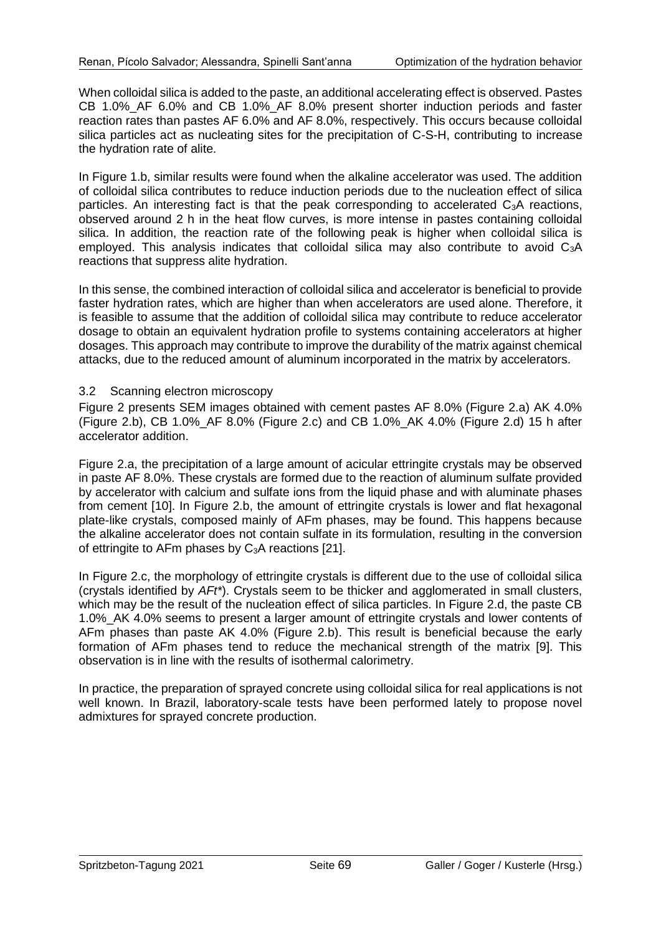When colloidal silica is added to the paste, an additional accelerating effect is observed. Pastes CB 1.0% AF 6.0% and CB 1.0% AF 8.0% present shorter induction periods and faster reaction rates than pastes AF 6.0% and AF 8.0%, respectively. This occurs because colloidal silica particles act as nucleating sites for the precipitation of C-S-H, contributing to increase the hydration rate of alite.

In Figure 1.b, similar results were found when the alkaline accelerator was used. The addition of colloidal silica contributes to reduce induction periods due to the nucleation effect of silica particles. An interesting fact is that the peak corresponding to accelerated  $C_3A$  reactions, observed around 2 h in the heat flow curves, is more intense in pastes containing colloidal silica. In addition, the reaction rate of the following peak is higher when colloidal silica is employed. This analysis indicates that colloidal silica may also contribute to avoid C<sub>3</sub>A reactions that suppress alite hydration.

In this sense, the combined interaction of colloidal silica and accelerator is beneficial to provide faster hydration rates, which are higher than when accelerators are used alone. Therefore, it is feasible to assume that the addition of colloidal silica may contribute to reduce accelerator dosage to obtain an equivalent hydration profile to systems containing accelerators at higher dosages. This approach may contribute to improve the durability of the matrix against chemical attacks, due to the reduced amount of aluminum incorporated in the matrix by accelerators.

#### 3.2 Scanning electron microscopy

Figure 2 presents SEM images obtained with cement pastes AF 8.0% (Figure 2.a) AK 4.0% (Figure 2.b), CB 1.0%\_AF 8.0% (Figure 2.c) and CB 1.0%\_AK 4.0% (Figure 2.d) 15 h after accelerator addition.

Figure 2.a, the precipitation of a large amount of acicular ettringite crystals may be observed in paste AF 8.0%. These crystals are formed due to the reaction of aluminum sulfate provided by accelerator with calcium and sulfate ions from the liquid phase and with aluminate phases from cement [10]. In Figure 2.b, the amount of ettringite crystals is lower and flat hexagonal plate-like crystals, composed mainly of AFm phases, may be found. This happens because the alkaline accelerator does not contain sulfate in its formulation, resulting in the conversion of ettringite to AFm phases by  $C_3$ A reactions [21].

In Figure 2.c, the morphology of ettringite crystals is different due to the use of colloidal silica (crystals identified by *AFt\**). Crystals seem to be thicker and agglomerated in small clusters, which may be the result of the nucleation effect of silica particles. In Figure 2.d, the paste CB 1.0%\_AK 4.0% seems to present a larger amount of ettringite crystals and lower contents of AFm phases than paste AK 4.0% (Figure 2.b). This result is beneficial because the early formation of AFm phases tend to reduce the mechanical strength of the matrix [9]. This observation is in line with the results of isothermal calorimetry.

In practice, the preparation of sprayed concrete using colloidal silica for real applications is not well known. In Brazil, laboratory-scale tests have been performed lately to propose novel admixtures for sprayed concrete production.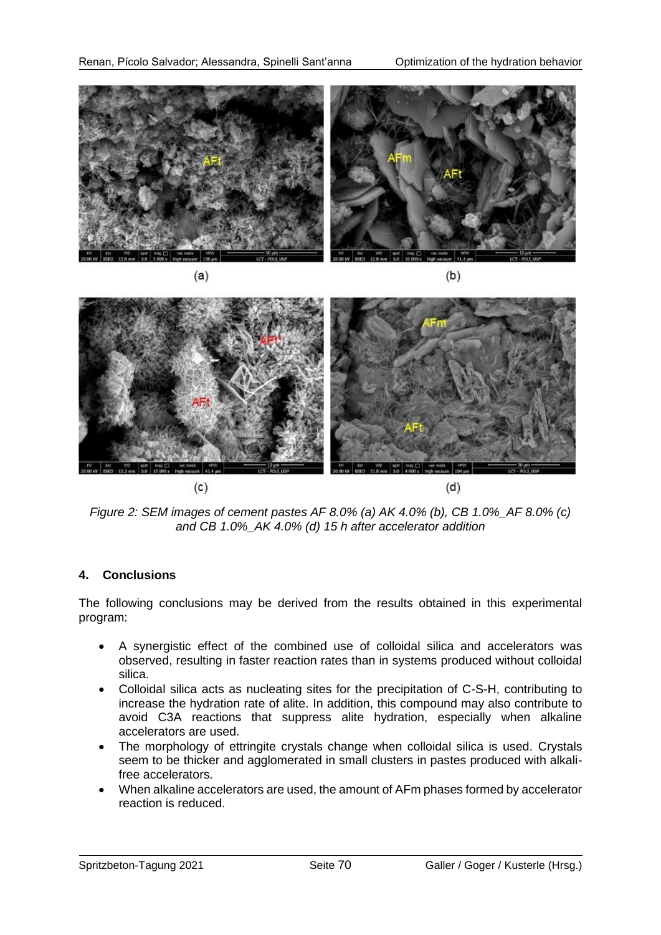



*Figure 2: SEM images of cement pastes AF 8.0% (a) AK 4.0% (b), CB 1.0%\_AF 8.0% (c) and CB 1.0%\_AK 4.0% (d) 15 h after accelerator addition*

# **4. Conclusions**

The following conclusions may be derived from the results obtained in this experimental program:

- A synergistic effect of the combined use of colloidal silica and accelerators was observed, resulting in faster reaction rates than in systems produced without colloidal silica.
- Colloidal silica acts as nucleating sites for the precipitation of C-S-H, contributing to increase the hydration rate of alite. In addition, this compound may also contribute to avoid C3A reactions that suppress alite hydration, especially when alkaline accelerators are used.
- The morphology of ettringite crystals change when colloidal silica is used. Crystals seem to be thicker and agglomerated in small clusters in pastes produced with alkalifree accelerators.
- When alkaline accelerators are used, the amount of AFm phases formed by accelerator reaction is reduced.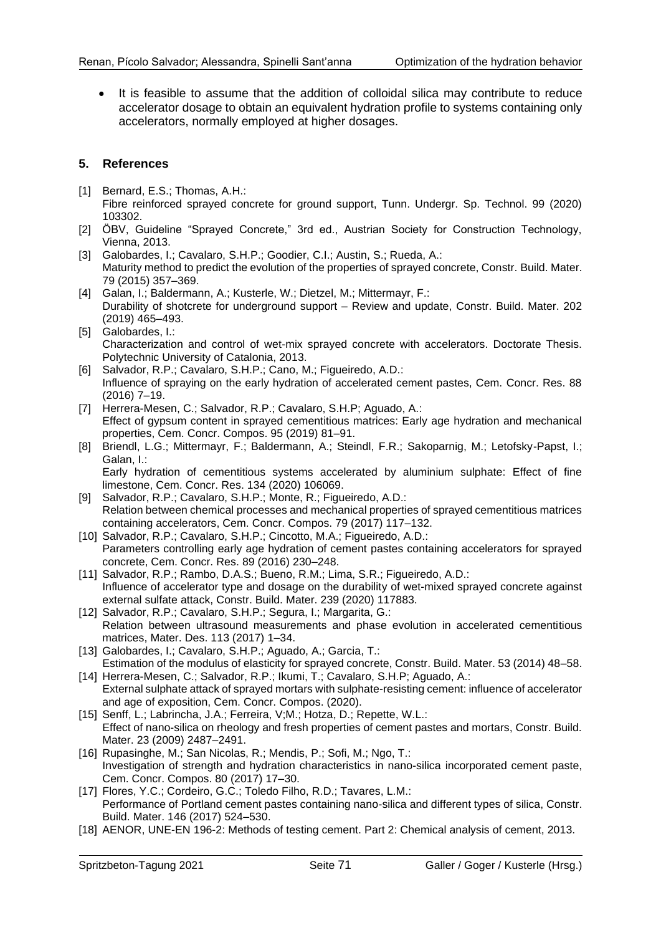• It is feasible to assume that the addition of colloidal silica may contribute to reduce accelerator dosage to obtain an equivalent hydration profile to systems containing only accelerators, normally employed at higher dosages.

#### **5. References**

- [1] Bernard, E.S.; Thomas, A.H.: Fibre reinforced sprayed concrete for ground support, Tunn. Undergr. Sp. Technol. 99 (2020) 103302.
- [2] ÖBV, Guideline "Sprayed Concrete," 3rd ed., Austrian Society for Construction Technology, Vienna, 2013.
- [3] Galobardes, I.; Cavalaro, S.H.P.; Goodier, C.I.; Austin, S.; Rueda, A.: Maturity method to predict the evolution of the properties of sprayed concrete, Constr. Build. Mater. 79 (2015) 357–369.
- [4] Galan, I.; Baldermann, A.; Kusterle, W.; Dietzel, M.; Mittermayr, F.: Durability of shotcrete for underground support – Review and update, Constr. Build. Mater. 202 (2019) 465–493.
- [5] Galobardes, I.: Characterization and control of wet-mix sprayed concrete with accelerators. Doctorate Thesis. Polytechnic University of Catalonia, 2013.
- [6] Salvador, R.P.; Cavalaro, S.H.P.; Cano, M.; Figueiredo, A.D.: Influence of spraying on the early hydration of accelerated cement pastes, Cem. Concr. Res. 88 (2016) 7–19.
- [7] Herrera-Mesen, C.; Salvador, R.P.; Cavalaro, S.H.P; Aguado, A.: Effect of gypsum content in sprayed cementitious matrices: Early age hydration and mechanical properties, Cem. Concr. Compos. 95 (2019) 81–91.
- [8] Briendl, L.G.; Mittermayr, F.; Baldermann, A.; Steindl, F.R.; Sakoparnig, M.; Letofsky-Papst, I.; Galan, I.:

Early hydration of cementitious systems accelerated by aluminium sulphate: Effect of fine limestone, Cem. Concr. Res. 134 (2020) 106069.

- [9] Salvador, R.P.; Cavalaro, S.H.P.; Monte, R.; Figueiredo, A.D.: Relation between chemical processes and mechanical properties of sprayed cementitious matrices containing accelerators, Cem. Concr. Compos. 79 (2017) 117–132.
- [10] Salvador, R.P.; Cavalaro, S.H.P.; Cincotto, M.A.; Figueiredo, A.D.: Parameters controlling early age hydration of cement pastes containing accelerators for sprayed concrete, Cem. Concr. Res. 89 (2016) 230–248.
- [11] Salvador, R.P.; Rambo, D.A.S.; Bueno, R.M.; Lima, S.R.; Figueiredo, A.D.: Influence of accelerator type and dosage on the durability of wet-mixed sprayed concrete against external sulfate attack, Constr. Build. Mater. 239 (2020) 117883.
- [12] Salvador, R.P.; Cavalaro, S.H.P.; Segura, I.; Margarita, G.: Relation between ultrasound measurements and phase evolution in accelerated cementitious matrices, Mater. Des. 113 (2017) 1–34.
- [13] Galobardes, I.; Cavalaro, S.H.P.; Aguado, A.; Garcia, T.: Estimation of the modulus of elasticity for sprayed concrete, Constr. Build. Mater. 53 (2014) 48–58.
- [14] Herrera-Mesen, C.; Salvador, R.P.; Ikumi, T.; Cavalaro, S.H.P; Aguado, A.: External sulphate attack of sprayed mortars with sulphate-resisting cement: influence of accelerator and age of exposition, Cem. Concr. Compos. (2020).
- [15] Senff, L.; Labrincha, J.A.; Ferreira, V;M.; Hotza, D.; Repette, W.L.: Effect of nano-silica on rheology and fresh properties of cement pastes and mortars, Constr. Build. Mater. 23 (2009) 2487–2491.
- [16] Rupasinghe, M.; San Nicolas, R.; Mendis, P.; Sofi, M.; Ngo, T.: Investigation of strength and hydration characteristics in nano-silica incorporated cement paste, Cem. Concr. Compos. 80 (2017) 17–30.
- [17] Flores, Y.C.; Cordeiro, G.C.; Toledo Filho, R.D.; Tavares, L.M.; Performance of Portland cement pastes containing nano-silica and different types of silica, Constr. Build. Mater. 146 (2017) 524–530.
- [18] AENOR, UNE-EN 196-2: Methods of testing cement. Part 2: Chemical analysis of cement, 2013.